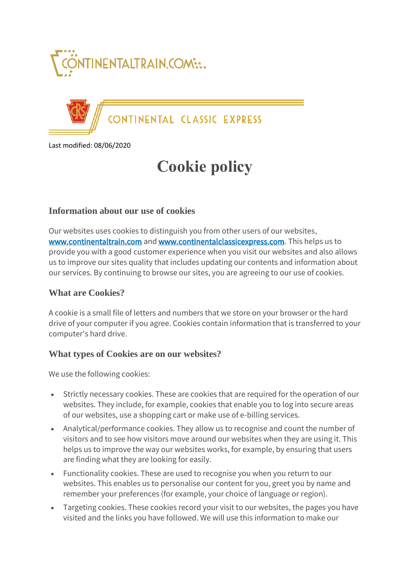



CONTINENTAL CLASSIC EXPRESS

Last modified: 08/06/2020

# **Cookie policy**

## **Information about our use of cookies**

Our websites uses cookies to distinguish you from other users of our websites, [www.continentaltrain.com](http://www.continentaltrain.com/) and [www.continentalclassicexpress.com.](http://www.continentalclassicexpress.com/) This helps us to provide you with a good customer experience when you visit our websites and also allows us to improve our sites quality that includes updating our contents and information about our services. By continuing to browse our sites, you are agreeing to our use of cookies.

#### **What are Cookies?**

A cookie is a small file of letters and numbers that we store on your browser or the hard drive of your computer if you agree. Cookies contain information that is transferred to your computer's hard drive.

#### **What types of Cookies are on our websites?**

We use the following cookies:

- Strictly necessary cookies. These are cookies that are required for the operation of our websites. They include, for example, cookies that enable you to log into secure areas of our websites, use a shopping cart or make use of e-billing services.
- Analytical/performance cookies. They allow us to recognise and count the number of visitors and to see how visitors move around our websites when they are using it. This helps us to improve the way our websites works, for example, by ensuring that users are finding what they are looking for easily.
- Functionality cookies. These are used to recognise you when you return to our websites. This enables us to personalise our content for you, greet you by name and remember your preferences (for example, your choice of language or region).
- Targeting cookies. These cookies record your visit to our websites, the pages you have visited and the links you have followed. We will use this information to make our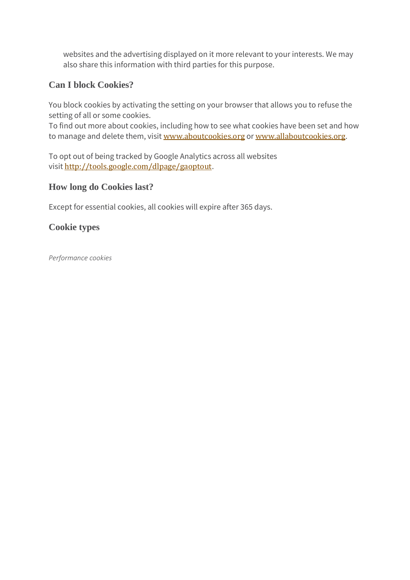websites and the advertising displayed on it more relevant to your interests. We may also share this information with third parties for this purpose.

# **Can I block Cookies?**

You block cookies by activating the setting on your browser that allows you to refuse the setting of all or some cookies.

To find out more about cookies, including how to see what cookies have been set and how to manage and delete them, visit [www.aboutcookies.org](https://www.aboutcookies.org/) or [www.allaboutcookies.org](http://www.allaboutcookies.org/).

To opt out of being tracked by Google Analytics across all websites visit <http://tools.google.com/dlpage/gaoptout>.

## **How long do Cookies last?**

Except for essential cookies, all cookies will expire after 365 days.

## **Cookie types**

*Performance cookies*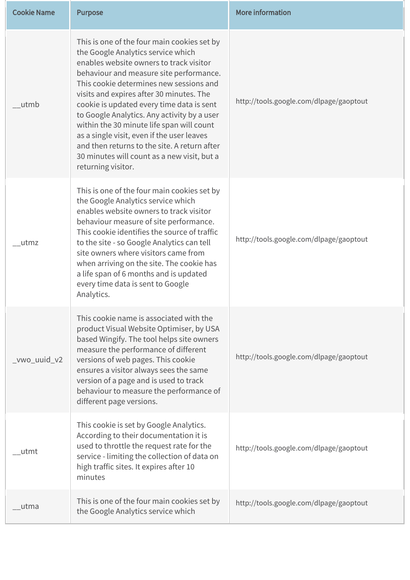| <b>Cookie Name</b> | <b>Purpose</b>                                                                                                                                                                                                                                                                                                                                                                                                                                                                                                                                                             | <b>More information</b>                 |
|--------------------|----------------------------------------------------------------------------------------------------------------------------------------------------------------------------------------------------------------------------------------------------------------------------------------------------------------------------------------------------------------------------------------------------------------------------------------------------------------------------------------------------------------------------------------------------------------------------|-----------------------------------------|
| utmb               | This is one of the four main cookies set by<br>the Google Analytics service which<br>enables website owners to track visitor<br>behaviour and measure site performance.<br>This cookie determines new sessions and<br>visits and expires after 30 minutes. The<br>cookie is updated every time data is sent<br>to Google Analytics. Any activity by a user<br>within the 30 minute life span will count<br>as a single visit, even if the user leaves<br>and then returns to the site. A return after<br>30 minutes will count as a new visit, but a<br>returning visitor. | http://tools.google.com/dlpage/gaoptout |
| utmz               | This is one of the four main cookies set by<br>the Google Analytics service which<br>enables website owners to track visitor<br>behaviour measure of site performance.<br>This cookie identifies the source of traffic<br>to the site - so Google Analytics can tell<br>site owners where visitors came from<br>when arriving on the site. The cookie has<br>a life span of 6 months and is updated<br>every time data is sent to Google<br>Analytics.                                                                                                                     | http://tools.google.com/dlpage/gaoptout |
| $_v$ wo_uuid_v2    | This cookie name is associated with the<br>product Visual Website Optimiser, by USA<br>based Wingify. The tool helps site owners<br>measure the performance of different<br>versions of web pages. This cookie<br>ensures a visitor always sees the same<br>version of a page and is used to track<br>behaviour to measure the performance of<br>different page versions.                                                                                                                                                                                                  | http://tools.google.com/dlpage/gaoptout |
| utmt               | This cookie is set by Google Analytics.<br>According to their documentation it is<br>used to throttle the request rate for the<br>service - limiting the collection of data on<br>high traffic sites. It expires after 10<br>minutes                                                                                                                                                                                                                                                                                                                                       | http://tools.google.com/dlpage/gaoptout |
| _utma              | This is one of the four main cookies set by<br>the Google Analytics service which                                                                                                                                                                                                                                                                                                                                                                                                                                                                                          | http://tools.google.com/dlpage/gaoptout |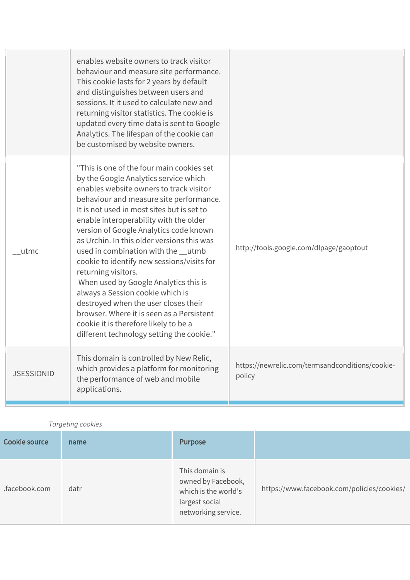|                   | enables website owners to track visitor<br>behaviour and measure site performance.<br>This cookie lasts for 2 years by default<br>and distinguishes between users and<br>sessions. It it used to calculate new and<br>returning visitor statistics. The cookie is<br>updated every time data is sent to Google<br>Analytics. The lifespan of the cookie can<br>be customised by website owners.                                                                                                                                                                                                                                                                                                                              |                                                           |
|-------------------|------------------------------------------------------------------------------------------------------------------------------------------------------------------------------------------------------------------------------------------------------------------------------------------------------------------------------------------------------------------------------------------------------------------------------------------------------------------------------------------------------------------------------------------------------------------------------------------------------------------------------------------------------------------------------------------------------------------------------|-----------------------------------------------------------|
| utmc              | "This is one of the four main cookies set<br>by the Google Analytics service which<br>enables website owners to track visitor<br>behaviour and measure site performance.<br>It is not used in most sites but is set to<br>enable interoperability with the older<br>version of Google Analytics code known<br>as Urchin. In this older versions this was<br>used in combination with the __utmb<br>cookie to identify new sessions/visits for<br>returning visitors.<br>When used by Google Analytics this is<br>always a Session cookie which is<br>destroyed when the user closes their<br>browser. Where it is seen as a Persistent<br>cookie it is therefore likely to be a<br>different technology setting the cookie." | http://tools.google.com/dlpage/gaoptout                   |
| <b>JSESSIONID</b> | This domain is controlled by New Relic,<br>which provides a platform for monitoring<br>the performance of web and mobile<br>applications.                                                                                                                                                                                                                                                                                                                                                                                                                                                                                                                                                                                    | https://newrelic.com/termsandconditions/cookie-<br>policy |

#### *Targeting cookies*

| Cookie source | name | <b>Purpose</b>                                                                                        |                                            |
|---------------|------|-------------------------------------------------------------------------------------------------------|--------------------------------------------|
| .facebook.com | datr | This domain is<br>owned by Facebook,<br>which is the world's<br>largest social<br>networking service. | https://www.facebook.com/policies/cookies/ |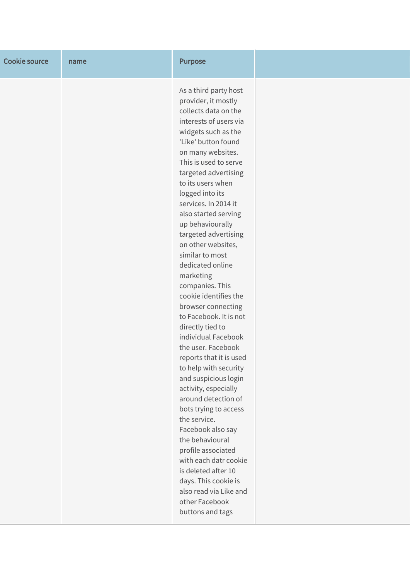| <b>Cookie source</b> | name | <b>Purpose</b>                                                                                                                                                                                                                                                                                                                                                                                                                                                                                                                                                                                                                                                                                                                                                                                                                                                                                                                                                          |  |
|----------------------|------|-------------------------------------------------------------------------------------------------------------------------------------------------------------------------------------------------------------------------------------------------------------------------------------------------------------------------------------------------------------------------------------------------------------------------------------------------------------------------------------------------------------------------------------------------------------------------------------------------------------------------------------------------------------------------------------------------------------------------------------------------------------------------------------------------------------------------------------------------------------------------------------------------------------------------------------------------------------------------|--|
|                      |      | As a third party host<br>provider, it mostly<br>collects data on the<br>interests of users via<br>widgets such as the<br>'Like' button found<br>on many websites.<br>This is used to serve<br>targeted advertising<br>to its users when<br>logged into its<br>services. In 2014 it<br>also started serving<br>up behaviourally<br>targeted advertising<br>on other websites,<br>similar to most<br>dedicated online<br>marketing<br>companies. This<br>cookie identifies the<br>browser connecting<br>to Facebook. It is not<br>directly tied to<br>individual Facebook<br>the user. Facebook<br>reports that it is used<br>to help with security<br>and suspicious login<br>activity, especially<br>around detection of<br>bots trying to access<br>the service.<br>Facebook also say<br>the behavioural<br>profile associated<br>with each datr cookie<br>is deleted after 10<br>days. This cookie is<br>also read via Like and<br>other Facebook<br>buttons and tags |  |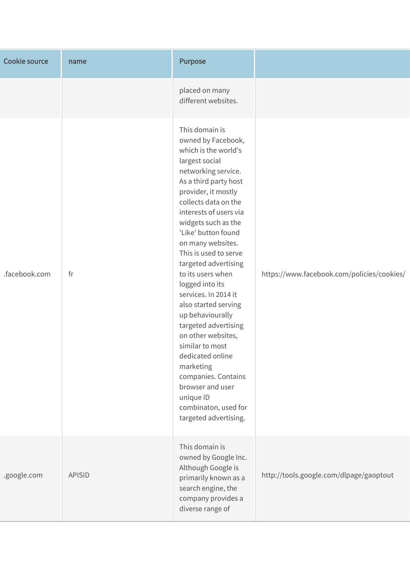| <b>Cookie source</b> | name          | <b>Purpose</b>                                                                                                                                                                                                                                                                                                                                                                                                                                                                                                                                                                                                                                     |                                            |
|----------------------|---------------|----------------------------------------------------------------------------------------------------------------------------------------------------------------------------------------------------------------------------------------------------------------------------------------------------------------------------------------------------------------------------------------------------------------------------------------------------------------------------------------------------------------------------------------------------------------------------------------------------------------------------------------------------|--------------------------------------------|
|                      |               | placed on many<br>different websites.                                                                                                                                                                                                                                                                                                                                                                                                                                                                                                                                                                                                              |                                            |
| .facebook.com        | fr            | This domain is<br>owned by Facebook,<br>which is the world's<br>largest social<br>networking service.<br>As a third party host<br>provider, it mostly<br>collects data on the<br>interests of users via<br>widgets such as the<br>'Like' button found<br>on many websites.<br>This is used to serve<br>targeted advertising<br>to its users when<br>logged into its<br>services. In 2014 it<br>also started serving<br>up behaviourally<br>targeted advertising<br>on other websites,<br>similar to most<br>dedicated online<br>marketing<br>companies. Contains<br>browser and user<br>unique ID<br>combinaton, used for<br>targeted advertising. | https://www.facebook.com/policies/cookies/ |
| .google.com          | <b>APISID</b> | This domain is<br>owned by Google Inc.<br>Although Google is<br>primarily known as a<br>search engine, the<br>company provides a<br>diverse range of                                                                                                                                                                                                                                                                                                                                                                                                                                                                                               | http://tools.google.com/dlpage/gaoptout    |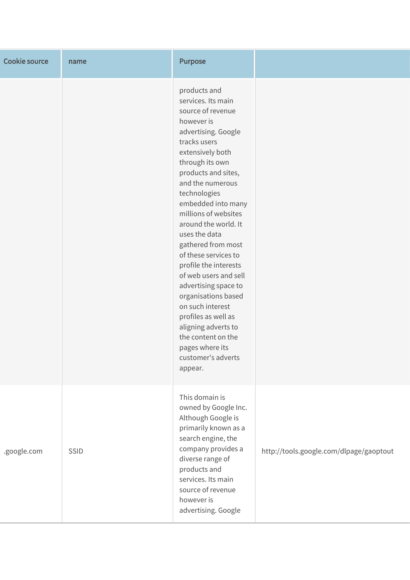| <b>Cookie source</b> | name | <b>Purpose</b>                                                                                                                                                                                                                                                                                                                                                                                                                                                                                                                                                                                   |                                         |
|----------------------|------|--------------------------------------------------------------------------------------------------------------------------------------------------------------------------------------------------------------------------------------------------------------------------------------------------------------------------------------------------------------------------------------------------------------------------------------------------------------------------------------------------------------------------------------------------------------------------------------------------|-----------------------------------------|
|                      |      | products and<br>services. Its main<br>source of revenue<br>however is<br>advertising. Google<br>tracks users<br>extensively both<br>through its own<br>products and sites,<br>and the numerous<br>technologies<br>embedded into many<br>millions of websites<br>around the world. It<br>uses the data<br>gathered from most<br>of these services to<br>profile the interests<br>of web users and sell<br>advertising space to<br>organisations based<br>on such interest<br>profiles as well as<br>aligning adverts to<br>the content on the<br>pages where its<br>customer's adverts<br>appear. |                                         |
| .google.com          | SSID | This domain is<br>owned by Google Inc.<br>Although Google is<br>primarily known as a<br>search engine, the<br>company provides a<br>diverse range of<br>products and<br>services. Its main<br>source of revenue<br>however is<br>advertising. Google                                                                                                                                                                                                                                                                                                                                             | http://tools.google.com/dlpage/gaoptout |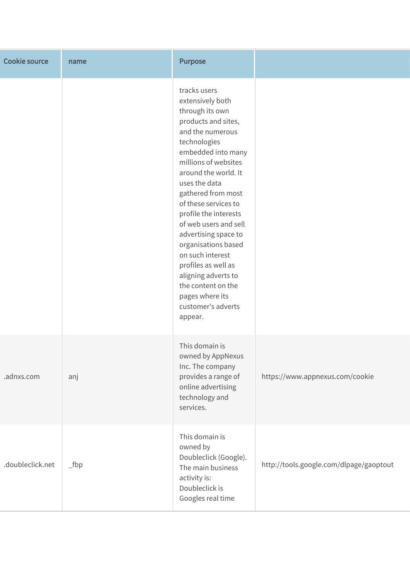| <b>Cookie source</b> | name              | <b>Purpose</b>                                                                                                                                                                                                                                                                                                                                                                                                                                                                                   |                                         |
|----------------------|-------------------|--------------------------------------------------------------------------------------------------------------------------------------------------------------------------------------------------------------------------------------------------------------------------------------------------------------------------------------------------------------------------------------------------------------------------------------------------------------------------------------------------|-----------------------------------------|
|                      |                   | tracks users<br>extensively both<br>through its own<br>products and sites,<br>and the numerous<br>technologies<br>embedded into many<br>millions of websites<br>around the world. It<br>uses the data<br>gathered from most<br>of these services to<br>profile the interests<br>of web users and sell<br>advertising space to<br>organisations based<br>on such interest<br>profiles as well as<br>aligning adverts to<br>the content on the<br>pages where its<br>customer's adverts<br>appear. |                                         |
| .adnxs.com           | anj               | This domain is<br>owned by AppNexus<br>Inc. The company<br>provides a range of<br>online advertising<br>technology and<br>services.                                                                                                                                                                                                                                                                                                                                                              | https://www.appnexus.com/cookie         |
| .doubleclick.net     | $_{\text{1}}$ fbp | This domain is<br>owned by<br>Doubleclick (Google).<br>The main business<br>activity is:<br>Doubleclick is<br>Googles real time                                                                                                                                                                                                                                                                                                                                                                  | http://tools.google.com/dlpage/gaoptout |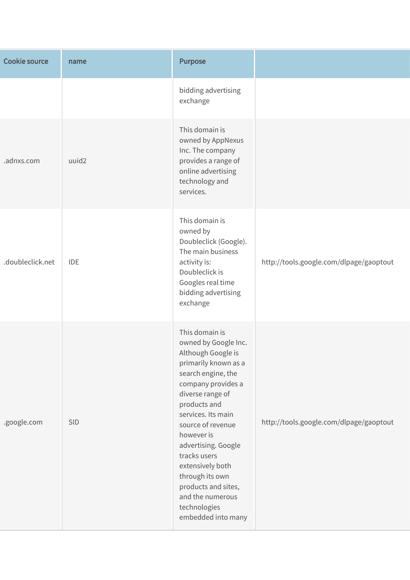| <b>Cookie source</b> | name       | <b>Purpose</b>                                                                                                                                                                                                                                                                                                                                                                               |                                         |
|----------------------|------------|----------------------------------------------------------------------------------------------------------------------------------------------------------------------------------------------------------------------------------------------------------------------------------------------------------------------------------------------------------------------------------------------|-----------------------------------------|
|                      |            | bidding advertising<br>exchange                                                                                                                                                                                                                                                                                                                                                              |                                         |
| .adnxs.com           | uuid2      | This domain is<br>owned by AppNexus<br>Inc. The company<br>provides a range of<br>online advertising<br>technology and<br>services.                                                                                                                                                                                                                                                          |                                         |
| .doubleclick.net     | <b>IDE</b> | This domain is<br>owned by<br>Doubleclick (Google).<br>The main business<br>activity is:<br>Doubleclick is<br>Googles real time<br>bidding advertising<br>exchange                                                                                                                                                                                                                           | http://tools.google.com/dlpage/gaoptout |
| .google.com          | SID        | This domain is<br>owned by Google Inc.<br>Although Google is<br>primarily known as a<br>search engine, the<br>company provides a<br>diverse range of<br>products and<br>services. Its main<br>source of revenue<br>however is<br>advertising. Google<br>tracks users<br>extensively both<br>through its own<br>products and sites,<br>and the numerous<br>technologies<br>embedded into many | http://tools.google.com/dlpage/gaoptout |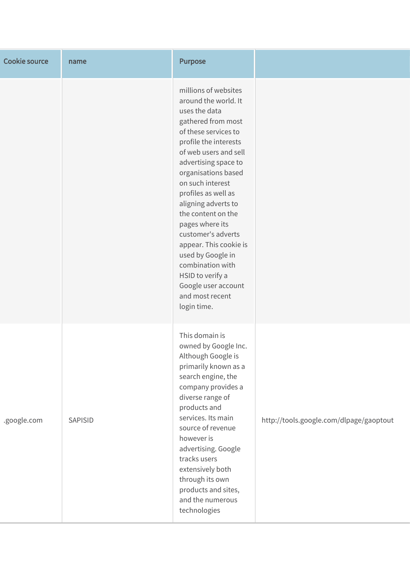| <b>Cookie source</b> | name    | <b>Purpose</b>                                                                                                                                                                                                                                                                                                                                                                                                                                                                                |                                         |
|----------------------|---------|-----------------------------------------------------------------------------------------------------------------------------------------------------------------------------------------------------------------------------------------------------------------------------------------------------------------------------------------------------------------------------------------------------------------------------------------------------------------------------------------------|-----------------------------------------|
|                      |         | millions of websites<br>around the world. It<br>uses the data<br>gathered from most<br>of these services to<br>profile the interests<br>of web users and sell<br>advertising space to<br>organisations based<br>on such interest<br>profiles as well as<br>aligning adverts to<br>the content on the<br>pages where its<br>customer's adverts<br>appear. This cookie is<br>used by Google in<br>combination with<br>HSID to verify a<br>Google user account<br>and most recent<br>login time. |                                         |
| .google.com          | SAPISID | This domain is<br>owned by Google Inc.<br>Although Google is<br>primarily known as a<br>search engine, the<br>company provides a<br>diverse range of<br>products and<br>services. Its main<br>source of revenue<br>however is<br>advertising. Google<br>tracks users<br>extensively both<br>through its own<br>products and sites,<br>and the numerous<br>technologies                                                                                                                        | http://tools.google.com/dlpage/gaoptout |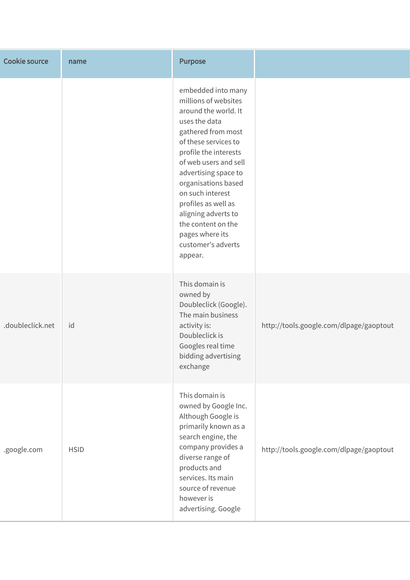| <b>Cookie source</b> | name        | <b>Purpose</b>                                                                                                                                                                                                                                                                                                                                                                 |                                         |
|----------------------|-------------|--------------------------------------------------------------------------------------------------------------------------------------------------------------------------------------------------------------------------------------------------------------------------------------------------------------------------------------------------------------------------------|-----------------------------------------|
|                      |             | embedded into many<br>millions of websites<br>around the world. It<br>uses the data<br>gathered from most<br>of these services to<br>profile the interests<br>of web users and sell<br>advertising space to<br>organisations based<br>on such interest<br>profiles as well as<br>aligning adverts to<br>the content on the<br>pages where its<br>customer's adverts<br>appear. |                                         |
| .doubleclick.net     | id          | This domain is<br>owned by<br>Doubleclick (Google).<br>The main business<br>activity is:<br>Doubleclick is<br>Googles real time<br>bidding advertising<br>exchange                                                                                                                                                                                                             | http://tools.google.com/dlpage/gaoptout |
| .google.com          | <b>HSID</b> | This domain is<br>owned by Google Inc.<br>Although Google is<br>primarily known as a<br>search engine, the<br>company provides a<br>diverse range of<br>products and<br>services. Its main<br>source of revenue<br>however is<br>advertising. Google                                                                                                                           | http://tools.google.com/dlpage/gaoptout |